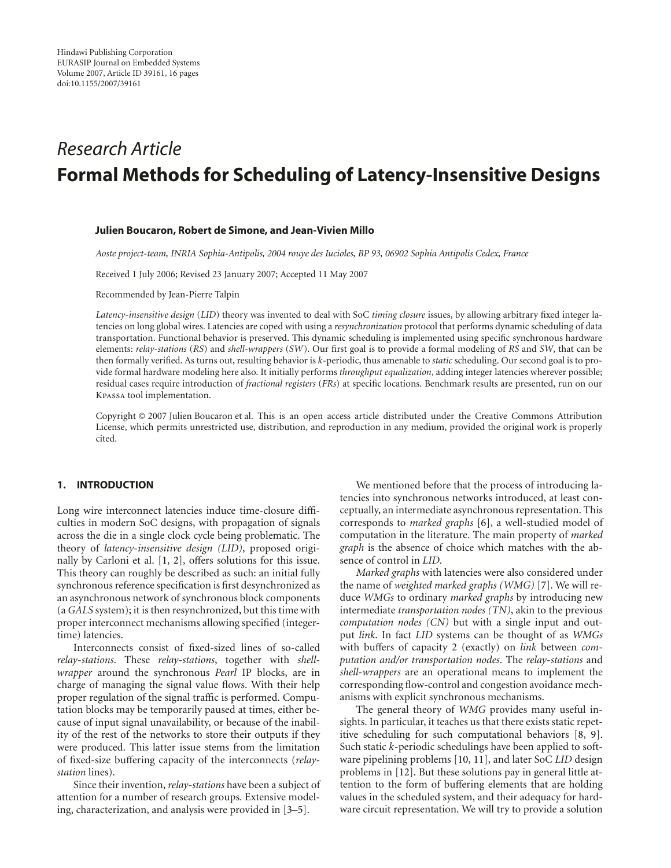# *Research Article* **Formal Methods for Scheduling of Latency-Insensitive Designs**

#### **Julien Boucaron, Robert de Simone, and Jean-Vivien Millo**

*Aoste project-team, INRIA Sophia-Antipolis, 2004 rouye des Iucioles, BP 93, 06902 Sophia Antipolis Cedex, France*

Received 1 July 2006; Revised 23 January 2007; Accepted 11 May 2007

Recommended by Jean-Pierre Talpin

*Latency-insensitive design* (*LID*) theory was invented to deal with SoC *timing closure* issues, by allowing arbitrary fixed integer latencies on long global wires. Latencies are coped with using a *resynchronization* protocol that performs dynamic scheduling of data transportation. Functional behavior is preserved. This dynamic scheduling is implemented using specific synchronous hardware elements: *relay-stations* (*RS*) and *shell-wrappers* (*SW*). Our first goal is to provide a formal modeling of *RS* and *SW*, that can be then formally verified. As turns out, resulting behavior is *k*-periodic, thus amenable to *static* scheduling. Our second goal is to provide formal hardware modeling here also. It initially performs *throughput equalization*, adding integer latencies wherever possible; residual cases require introduction of *fractional registers* (*FRs*) at specific locations. Benchmark results are presented, run on our Kpassa tool implementation.

Copyright © 2007 Julien Boucaron et al. This is an open access article distributed under the Creative Commons Attribution License, which permits unrestricted use, distribution, and reproduction in any medium, provided the original work is properly cited.

# **1. INTRODUCTION**

Long wire interconnect latencies induce time-closure difficulties in modern SoC designs, with propagation of signals across the die in a single clock cycle being problematic. The theory of *latency-insensitive design (LID)*, proposed originally by Carloni et al. [\[1,](#page-14-1) [2](#page-14-2)], offers solutions for this issue. This theory can roughly be described as such: an initial fully synchronous reference specification is first desynchronized as an asynchronous network of synchronous block components (a *GALS* system); it is then resynchronized, but this time with proper interconnect mechanisms allowing specified (integertime) latencies.

Interconnects consist of fixed-sized lines of so-called *relay-stations*. These *relay-stations*, together with *shellwrapper* around the synchronous *Pearl* IP blocks, are in charge of managing the signal value flows. With their help proper regulation of the signal traffic is performed. Computation blocks may be temporarily paused at times, either because of input signal unavailability, or because of the inability of the rest of the networks to store their outputs if they were produced. This latter issue stems from the limitation of fixed-size buffering capacity of the interconnects (*relaystation* lines).

Since their invention, *relay-stations* have been a subject of attention for a number of research groups. Extensive modeling, characterization, and analysis were provided in [\[3](#page-14-3)[–5\]](#page-14-4).

We mentioned before that the process of introducing latencies into synchronous networks introduced, at least conceptually, an intermediate asynchronous representation. This corresponds to *marked graphs* [\[6\]](#page-14-5), a well-studied model of computation in the literature. The main property of *marked graph* is the absence of choice which matches with the absence of control in *LID*.

*Marked graphs* with latencies were also considered under the name of *weighted marked graphs (WMG)* [\[7\]](#page-14-6). We will reduce *WMGs* to ordinary *marked graphs* by introducing new intermediate *transportation nodes (TN)*, akin to the previous *computation nodes (CN)* but with a single input and output *link*. In fact *LID* systems can be thought of as *WMGs* with buffers of capacity 2 (exactly) on *link* between *computation and/or transportation nodes*. The *relay-stations* and *shell-wrappers* are an operational means to implement the corresponding flow-control and congestion avoidance mechanisms with explicit synchronous mechanisms.

The general theory of *WMG* provides many useful insights. In particular, it teaches us that there exists static repetitive scheduling for such computational behaviors [\[8](#page-14-7), [9](#page-14-8)]. Such static *k*-periodic schedulings have been applied to software pipelining problems [\[10](#page-14-9), [11\]](#page-14-10), and later SoC *LID* design problems in [\[12\]](#page-14-11). But these solutions pay in general little attention to the form of buffering elements that are holding values in the scheduled system, and their adequacy for hardware circuit representation. We will try to provide a solution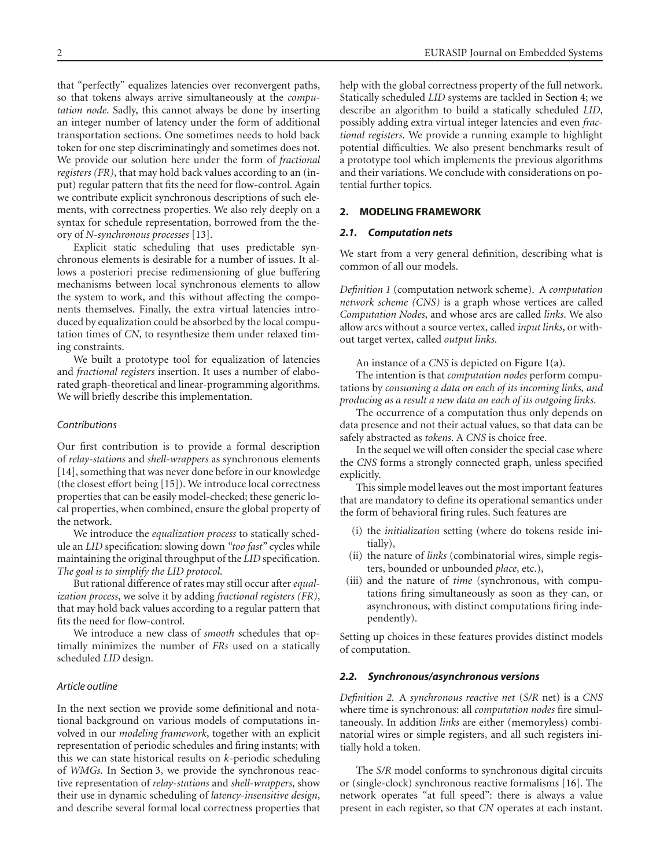that "perfectly" equalizes latencies over reconvergent paths, so that tokens always arrive simultaneously at the *computation node*. Sadly, this cannot always be done by inserting an integer number of latency under the form of additional transportation sections. One sometimes needs to hold back token for one step discriminatingly and sometimes does not. We provide our solution here under the form of *fractional registers (FR)*, that may hold back values according to an (input) regular pattern that fits the need for flow-control. Again we contribute explicit synchronous descriptions of such elements, with correctness properties. We also rely deeply on a syntax for schedule representation, borrowed from the theory of *N-synchronous processes* [\[13](#page-14-12)].

Explicit static scheduling that uses predictable synchronous elements is desirable for a number of issues. It allows a posteriori precise redimensioning of glue buffering mechanisms between local synchronous elements to allow the system to work, and this without affecting the components themselves. Finally, the extra virtual latencies introduced by equalization could be absorbed by the local computation times of *CN*, to resynthesize them under relaxed timing constraints.

We built a prototype tool for equalization of latencies and *fractional registers* insertion. It uses a number of elaborated graph-theoretical and linear-programming algorithms. We will briefly describe this implementation.

#### *Contributions*

Our first contribution is to provide a formal description of *relay-stations* and *shell-wrappers* as synchronous elements [\[14](#page-14-13)], something that was never done before in our knowledge (the closest effort being [\[15\]](#page-14-14)). We introduce local correctness properties that can be easily model-checked; these generic local properties, when combined, ensure the global property of the network.

We introduce the *equalization process* to statically schedule an *LID* specification: slowing down *"too fast"* cycles while maintaining the original throughput of the *LID* specification. *The goal is to simplify the LID protocol*.

But rational difference of rates may still occur after *equalization process*, we solve it by adding *fractional registers (FR)*, that may hold back values according to a regular pattern that fits the need for flow-control.

We introduce a new class of *smooth* schedules that optimally minimizes the number of *FRs* used on a statically scheduled *LID* design.

# *Article outline*

In the next section we provide some definitional and notational background on various models of computations involved in our *modeling framework*, together with an explicit representation of periodic schedules and firing instants; with this we can state historical results on *k*-periodic scheduling of *WMGs*. In [Section 3,](#page-3-0) we provide the synchronous reactive representation of *relay-stations* and *shell-wrappers*, show their use in dynamic scheduling of *latency-insensitive design*, and describe several formal local correctness properties that

help with the global correctness property of the full network. Statically scheduled *LID* systems are tackled in [Section 4;](#page-6-0) we describe an algorithm to build a statically scheduled *LID*, possibly adding extra virtual integer latencies and even *fractional registers*. We provide a running example to highlight potential difficulties. We also present benchmarks result of a prototype tool which implements the previous algorithms and their variations. We conclude with considerations on potential further topics.

# **2. MODELING FRAMEWORK**

## *2.1. Computation nets*

We start from a very general definition, describing what is common of all our models.

*Definition 1* (computation network scheme). A *computation network scheme (CNS)* is a graph whose vertices are called *Computation Nodes*, and whose arcs are called *links*. We also allow arcs without a source vertex, called *input links*, or without target vertex, called *output links*.

An instance of a *CNS* is depicted on [Figure 1\(a\).](#page-2-0)

The intention is that *computation nodes* perform computations by *consuming a data on each of its incoming links, and producing as a result a new data on each of its outgoing links*.

The occurrence of a computation thus only depends on data presence and not their actual values, so that data can be safely abstracted as *tokens*. A *CNS* is choice free.

In the sequel we will often consider the special case where the *CNS* forms a strongly connected graph, unless specified explicitly.

This simple model leaves out the most important features that are mandatory to define its operational semantics under the form of behavioral firing rules. Such features are

- (i) the *initialization* setting (where do tokens reside initially),
- (ii) the nature of *links* (combinatorial wires, simple registers, bounded or unbounded *place*, etc.),
- (iii) and the nature of *time* (synchronous, with computations firing simultaneously as soon as they can, or asynchronous, with distinct computations firing independently).

Setting up choices in these features provides distinct models of computation.

#### *2.2. Synchronous/asynchronous versions*

*Definition 2.* A *synchronous reactive net* (*S/R* net) is a *CNS* where time is synchronous: all *computation nodes* fire simultaneously. In addition *links* are either (memoryless) combinatorial wires or simple registers, and all such registers initially hold a token.

The *S/R* model conforms to synchronous digital circuits or (single-clock) synchronous reactive formalisms [\[16](#page-14-15)]. The network operates "at full speed": there is always a value present in each register, so that *CN* operates at each instant.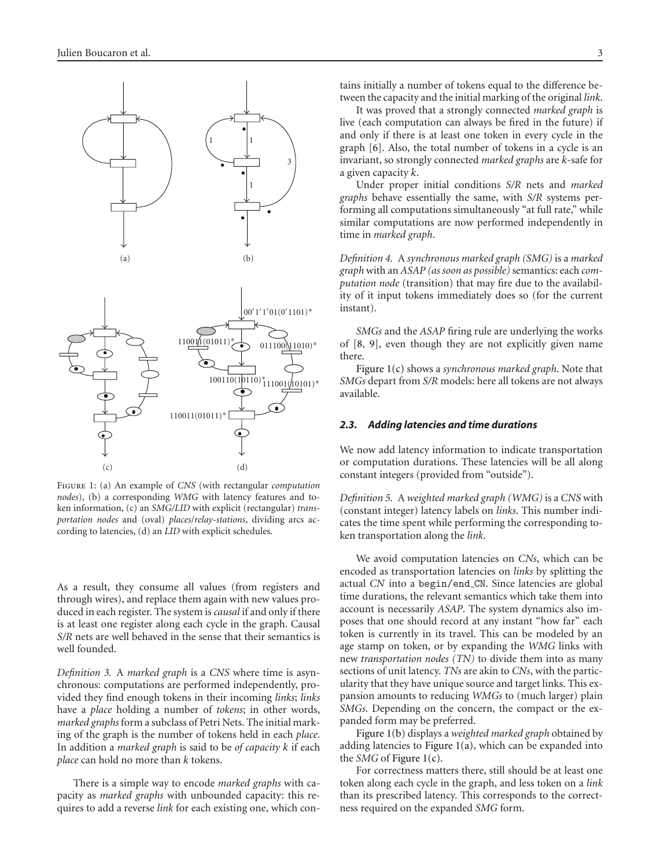<span id="page-2-2"></span><span id="page-2-1"></span><span id="page-2-0"></span>

<span id="page-2-4"></span><span id="page-2-3"></span>Figure 1: (a) An example of *CNS* (with rectangular *computation nodes*), (b) a corresponding *WMG* with latency features and token information, (c) an *SMG/LID* with explicit (rectangular) *transportation nodes* and (oval) *places*/*relay-stations*, dividing arcs according to latencies, (d) an *LID* with explicit schedules.

As a result, they consume all values (from registers and through wires), and replace them again with new values produced in each register. The system is *causal* if and only if there is at least one register along each cycle in the graph. Causal *S/R* nets are well behaved in the sense that their semantics is well founded.

*Definition 3.* A *marked graph* is a *CNS* where time is asynchronous: computations are performed independently, provided they find enough tokens in their incoming *links*; *links* have a *place* holding a number of *tokens*; in other words, *marked graphs* form a subclass of Petri Nets. The initial marking of the graph is the number of tokens held in each *place*. In addition a *marked graph* is said to be *of capacity k* if each *place* can hold no more than *k* tokens.

There is a simple way to encode *marked graphs* with capacity as *marked graphs* with unbounded capacity: this requires to add a reverse *link* for each existing one, which contains initially a number of tokens equal to the difference between the capacity and the initial marking of the original *link*.

It was proved that a strongly connected *marked graph* is live (each computation can always be fired in the future) if and only if there is at least one token in every cycle in the graph [\[6](#page-14-5)]. Also, the total number of tokens in a cycle is an invariant, so strongly connected *marked graphs* are *k*-safe for a given capacity *k*.

Under proper initial conditions *S/R* nets and *marked graphs* behave essentially the same, with *S/R* systems performing all computations simultaneously "at full rate," while similar computations are now performed independently in time in *marked graph*.

*Definition 4.* A *synchronous marked graph (SMG)* is a *marked* graph with an *ASAP* (as soon as possible) semantics: each *computation node* (transition) that may fire due to the availability of it input tokens immediately does so (for the current instant).

*SMGs* and the *ASAP* firing rule are underlying the works of [\[8,](#page-14-7) [9](#page-14-8)], even though they are not explicitly given name there.

[Figure 1\(c\)](#page-2-1) shows a *synchronous marked graph*. Note that *SMGs* depart from *S/R* models: here all tokens are not always available.

#### *2.3. Adding latencies and time durations*

We now add latency information to indicate transportation or computation durations. These latencies will be all along constant integers (provided from "outside").

*Definition 5.* A *weighted marked graph (WMG)* is a *CNS* with (constant integer) latency labels on *links*. This number indicates the time spent while performing the corresponding token transportation along the *link*.

We avoid computation latencies on *CNs*, which can be encoded as transportation latencies on *links* by splitting the actual *CN* into a begin/end CN. Since latencies are global time durations, the relevant semantics which take them into account is necessarily *ASAP*. The system dynamics also imposes that one should record at any instant "how far" each token is currently in its travel. This can be modeled by an age stamp on token, or by expanding the *WMG* links with new *transportation nodes (TN)* to divide them into as many sections of unit latency. *TNs* are akin to *CNs*, with the particularity that they have unique source and target links. This expansion amounts to reducing *WMGs* to (much larger) plain *SMGs*. Depending on the concern, the compact or the expanded form may be preferred.

[Figure 1\(b\)](#page-2-2) displays a *weighted marked graph* obtained by adding latencies to Figure  $1(a)$ , which can be expanded into the *SMG* of [Figure 1\(c\).](#page-2-1)

For correctness matters there, still should be at least one token along each cycle in the graph, and less token on a *link* than its prescribed latency. This corresponds to the correctness required on the expanded *SMG* form.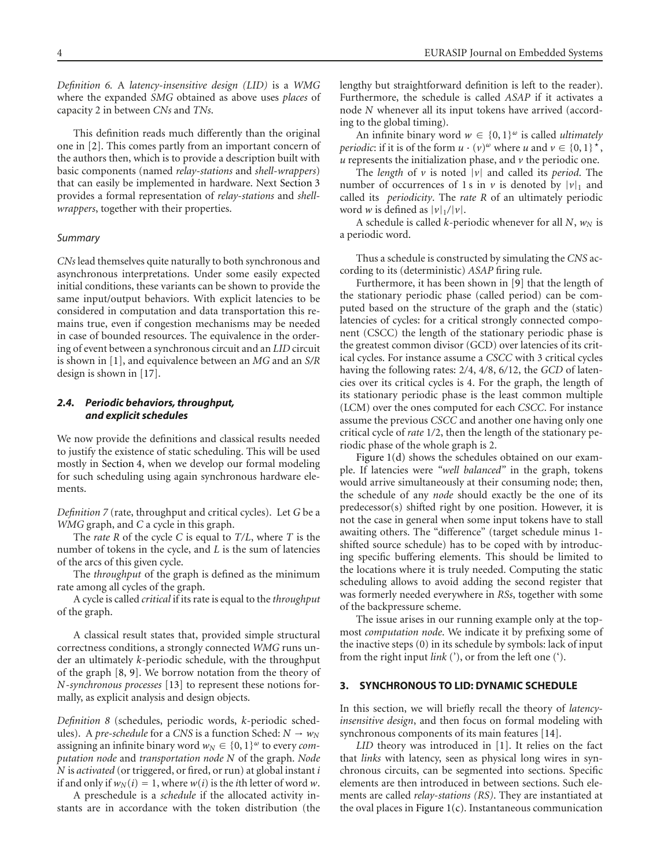*Definition 6.* A *latency-insensitive design (LID)* is a *WMG* where the expanded *SMG* obtained as above uses *places* of capacity 2 in between *CNs* and *TNs*.

This definition reads much differently than the original one in [\[2\]](#page-14-2). This comes partly from an important concern of the authors then, which is to provide a description built with basic components (named *relay-stations* and *shell-wrappers*) that can easily be implemented in hardware. Next [Section 3](#page-3-0) provides a formal representation of *relay-stations* and *shellwrappers*, together with their properties.

#### *Summary*

*CNs* lead themselves quite naturally to both synchronous and asynchronous interpretations. Under some easily expected initial conditions, these variants can be shown to provide the same input/output behaviors. With explicit latencies to be considered in computation and data transportation this remains true, even if congestion mechanisms may be needed in case of bounded resources. The equivalence in the ordering of event between a synchronous circuit and an *LID* circuit is shown in [\[1](#page-14-1)], and equivalence between an *MG* and an *S/R* design is shown in [\[17\]](#page-15-0).

# *2.4. Periodic behaviors, throughput, and explicit schedules*

We now provide the definitions and classical results needed to justify the existence of static scheduling. This will be used mostly in [Section 4,](#page-6-0) when we develop our formal modeling for such scheduling using again synchronous hardware elements.

*Definition 7* (rate, throughput and critical cycles). Let *G* be a *WMG* graph, and *C* a cycle in this graph.

The *rate R* of the cycle *C* is equal to *T/L*, where *T* is the number of tokens in the cycle, and *L* is the sum of latencies of the arcs of this given cycle.

The *throughput* of the graph is defined as the minimum rate among all cycles of the graph.

A cycle is called *critical* if its rate is equal to the *throughput* of the graph.

A classical result states that, provided simple structural correctness conditions, a strongly connected *WMG* runs under an ultimately *k*-periodic schedule, with the throughput of the graph [\[8](#page-14-7), [9](#page-14-8)]. We borrow notation from the theory of *N-synchronous processes* [\[13\]](#page-14-12) to represent these notions formally, as explicit analysis and design objects.

*Definition 8* (schedules, periodic words, *k*-periodic schedules). A *pre-schedule* for a *CNS* is a function Sched:  $N \rightarrow w_N$ assigning an infinite binary word  $w_N \in \{0, 1\}^\omega$  to every *computation node* and *transportation node N* of the graph. *Node N* is *activated* (or triggered, or fired, or run) at global instant *i* if and only if  $w_N(i) = 1$ , where  $w(i)$  is the *i*th letter of word *w*.

A preschedule is a *schedule* if the allocated activity instants are in accordance with the token distribution (the lengthy but straightforward definition is left to the reader). Furthermore, the schedule is called *ASAP* if it activates a node *N* whenever all its input tokens have arrived (according to the global timing).

An infinite binary word  $w \in \{0, 1\}^{\omega}$  is called *ultimately periodic*: if it is of the form  $u \cdot (v)^{\omega}$  where  $u$  and  $v \in \{0, 1\}^{\star}$ ,  *represents the initialization phase, and*  $*v*$  *the periodic one.* 

The *length* of *v* is noted |*v*| and called its *period*. The number of occurrences of 1 s in  $\nu$  is denoted by  $|\nu|_1$  and called its *periodicity*. The *rate R* of an ultimately periodic word *w* is defined as  $|v|_1/|v|$ .

A schedule is called  $k$ -periodic whenever for all  $N$ ,  $w_N$  is a periodic word.

Thus a schedule is constructed by simulating the *CNS* according to its (deterministic) *ASAP* firing rule.

Furthermore, it has been shown in [\[9\]](#page-14-8) that the length of the stationary periodic phase (called period) can be computed based on the structure of the graph and the (static) latencies of cycles: for a critical strongly connected component (CSCC) the length of the stationary periodic phase is the greatest common divisor (GCD) over latencies of its critical cycles. For instance assume a *CSCC* with 3 critical cycles having the following rates: 2*/*4, 4*/*8, 6*/*12, the *GCD* of latencies over its critical cycles is 4. For the graph, the length of its stationary periodic phase is the least common multiple (LCM) over the ones computed for each *CSCC*. For instance assume the previous *CSCC* and another one having only one critical cycle of *rate* 1*/*2, then the length of the stationary periodic phase of the whole graph is 2.

[Figure 1\(d\)](#page-2-3) shows the schedules obtained on our example. If latencies were *"well balanced"* in the graph, tokens would arrive simultaneously at their consuming node; then, the schedule of any *node* should exactly be the one of its predecessor(s) shifted right by one position. However, it is not the case in general when some input tokens have to stall awaiting others. The "difference" (target schedule minus 1 shifted source schedule) has to be coped with by introducing specific buffering elements. This should be limited to the locations where it is truly needed. Computing the static scheduling allows to avoid adding the second register that was formerly needed everywhere in *RSs*, together with some of the backpressure scheme.

The issue arises in our running example only at the topmost *computation node*. We indicate it by prefixing some of the inactive steps (0) in its schedule by symbols: lack of input from the right input *link* ('), or from the left one (').

#### <span id="page-3-0"></span>**3. SYNCHRONOUS TO LID: DYNAMIC SCHEDULE**

In this section, we will briefly recall the theory of *latencyinsensitive design*, and then focus on formal modeling with synchronous components of its main features [\[14\]](#page-14-13).

*LID* theory was introduced in [\[1\]](#page-14-1). It relies on the fact that *links* with latency, seen as physical long wires in synchronous circuits, can be segmented into sections. Specific elements are then introduced in between sections. Such elements are called *relay-stations (RS)*. They are instantiated at the oval places in [Figure 1\(c\).](#page-2-1) Instantaneous communication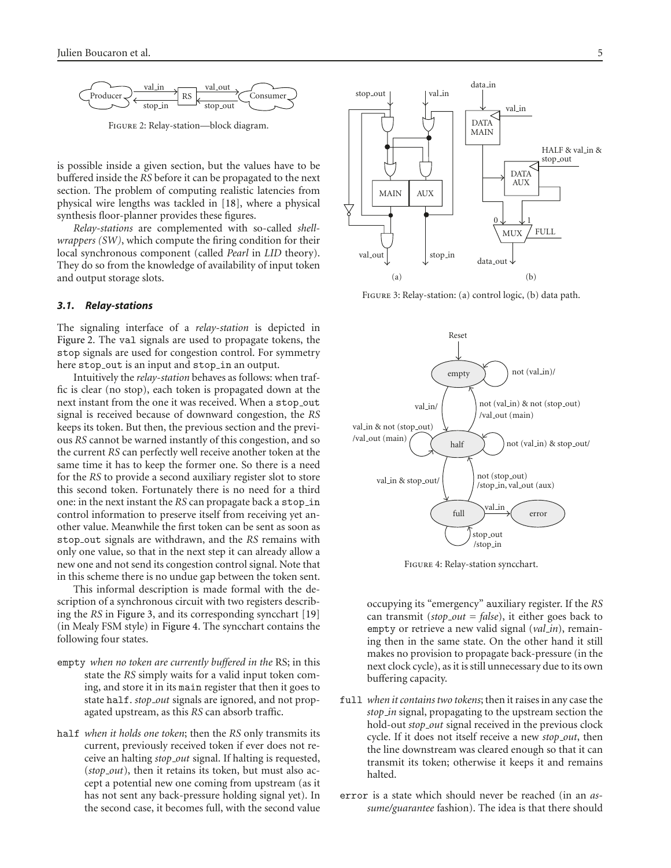

Figure 2: Relay-station—block diagram.

<span id="page-4-0"></span>is possible inside a given section, but the values have to be buffered inside the *RS* before it can be propagated to the next section. The problem of computing realistic latencies from physical wire lengths was tackled in [\[18](#page-15-1)], where a physical synthesis floor-planner provides these figures.

*Relay-stations* are complemented with so-called *shellwrappers (SW)*, which compute the firing condition for their local synchronous component (called *Pearl* in *LID* theory). They do so from the knowledge of availability of input token and output storage slots.

## *3.1. Relay-stations*

The signaling interface of a *relay-station* is depicted in [Figure 2.](#page-4-0) The val signals are used to propagate tokens, the stop signals are used for congestion control. For symmetry here stop\_out is an input and stop\_in an output.

Intuitively the *relay-station* behaves as follows: when traffic is clear (no stop), each token is propagated down at the next instant from the one it was received. When a stop\_out signal is received because of downward congestion, the *RS* keeps its token. But then, the previous section and the previous *RS* cannot be warned instantly of this congestion, and so the current *RS* can perfectly well receive another token at the same time it has to keep the former one. So there is a need for the *RS* to provide a second auxiliary register slot to store this second token. Fortunately there is no need for a third one: in the next instant the *RS* can propagate back a stop in control information to preserve itself from receiving yet another value. Meanwhile the first token can be sent as soon as stop out signals are withdrawn, and the *RS* remains with only one value, so that in the next step it can already allow a new one and not send its congestion control signal. Note that in this scheme there is no undue gap between the token sent.

This informal description is made formal with the description of a synchronous circuit with two registers describing the *RS* in [Figure 3,](#page-4-1) and its corresponding syncchart [\[19](#page-15-2)] (in Mealy FSM style) in [Figure 4.](#page-4-2) The syncchart contains the following four states.

- empty *when no token are currently buffered in the* RS; in this state the *RS* simply waits for a valid input token coming, and store it in its main register that then it goes to state half. *stop out* signals are ignored, and not propagated upstream, as this *RS* can absorb traffic.
- half *when it holds one token*; then the *RS* only transmits its current, previously received token if ever does not receive an halting *stop out* signal. If halting is requested, (*stop out*), then it retains its token, but must also accept a potential new one coming from upstream (as it has not sent any back-pressure holding signal yet). In the second case, it becomes full, with the second value



Figure 3: Relay-station: (a) control logic, (b) data path.

<span id="page-4-1"></span>

Figure 4: Relay-station syncchart.

<span id="page-4-2"></span>occupying its "emergency" auxiliary register. If the *RS* can transmit (*stop out = false*), it either goes back to empty or retrieve a new valid signal (*val\_in*), remaining then in the same state. On the other hand it still makes no provision to propagate back-pressure (in the next clock cycle), as it is still unnecessary due to its own buffering capacity.

- full *when it contains two tokens*; then it raises in any case the *stop in* signal, propagating to the upstream section the hold-out *stop out* signal received in the previous clock cycle. If it does not itself receive a new *stop out*, then the line downstream was cleared enough so that it can transmit its token; otherwise it keeps it and remains halted.
- error is a state which should never be reached (in an *assume/guarantee* fashion). The idea is that there should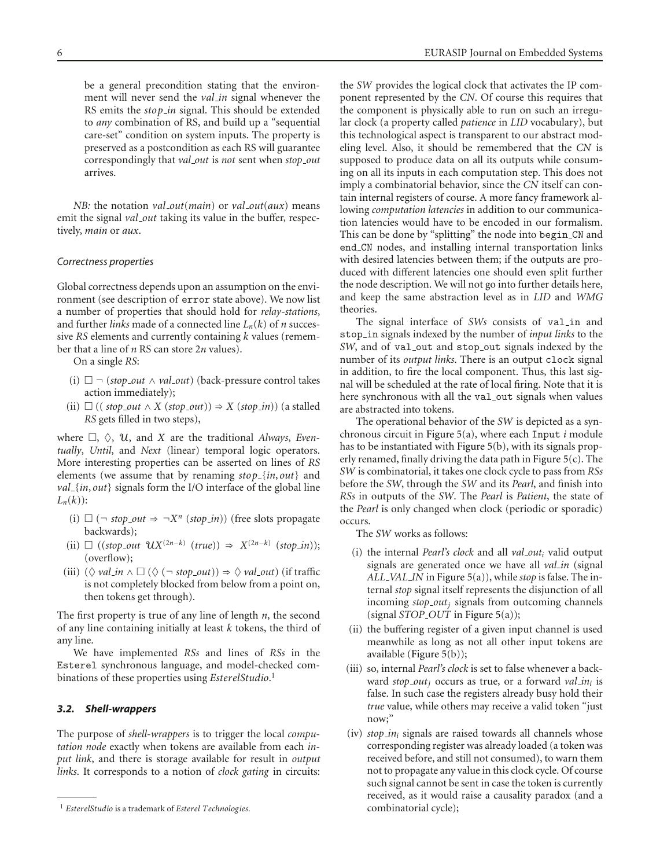be a general precondition stating that the environment will never send the *val in* signal whenever the RS emits the *stop in* signal. This should be extended to *any* combination of RS, and build up a "sequential care-set" condition on system inputs. The property is preserved as a postcondition as each RS will guarantee correspondingly that *val out* is *not* sent when *stop out* arrives.

*NB:* the notation *val out*(*main*) or *val out*(*aux*) means emit the signal *val out* taking its value in the buffer, respectively, *main* or *aux*.

#### *Correctness properties*

Global correctness depends upon an assumption on the environment (see description of error state above). We now list a number of properties that should hold for *relay-stations*, and further *links* made of a connected line  $L_n(k)$  of *n* successive *RS* elements and currently containing *k* values (remember that a line of *n* RS can store 2*n* values).

On a single *RS*:

- (i) ¬ (*stop out* ∧ *val out*) (back-pressure control takes action immediately);
- (ii)  $□$  (( *stop\_out* ∧ *X* (*stop\_out*)) ⇒ *X* (*stop\_in*)) (a stalled *RS* gets filled in two steps),

where  $\Box$ ,  $\Diamond$ ,  $\mathcal{U}$ , and *X* are the traditional *Always*, *Eventually*, *Until*, and *Next* (linear) temporal logic operators. More interesting properties can be asserted on lines of *RS* elements (we assume that by renaming *stop* {*in*, *out*} and *val* {*in*, *out*} signals form the I/O interface of the global line  $L_n(k)$ :

- (i)  $□$  (¬ *stop\_out* ⇒ ¬*X<sup>n</sup>* (*stop\_in*)) (free slots propagate backwards);
- $(iii) □ ((stop.out  $U X^{(2n-k)} (true)) \Rightarrow X^{(2n-k)} (stop_in));$$ (overflow);
- (iii)  $(\Diamond \text{ val_in} \land \Box (\Diamond (\neg \text{ stop.out})) \Rightarrow \Diamond \text{ val.out})$  (if traffic is not completely blocked from below from a point on, then tokens get through).

The first property is true of any line of length *n*, the second of any line containing initially at least *k* tokens, the third of any line.

We have implemented *RSs* and lines of *RSs* in the Esterel synchronous language, and model-checked combinations of these properties using *EsterelStudio*. 1

#### *3.2. Shell-wrappers*

The purpose of *shell-wrappers* is to trigger the local *computation node* exactly when tokens are available from each *input link*, and there is storage available for result in *output links*. It corresponds to a notion of *clock gating* in circuits: the *SW* provides the logical clock that activates the IP component represented by the *CN*. Of course this requires that the component is physically able to run on such an irregular clock (a property called *patience* in *LID* vocabulary), but this technological aspect is transparent to our abstract modeling level. Also, it should be remembered that the *CN* is supposed to produce data on all its outputs while consuming on all its inputs in each computation step. This does not imply a combinatorial behavior, since the *CN* itself can contain internal registers of course. A more fancy framework allowing *computation latencies* in addition to our communication latencies would have to be encoded in our formalism. This can be done by "splitting" the node into begin CN and end CN nodes, and installing internal transportation links with desired latencies between them; if the outputs are produced with different latencies one should even split further the node description. We will not go into further details here, and keep the same abstraction level as in *LID* and *WMG* theories.

The signal interface of *SWs* consists of valin and stop in signals indexed by the number of *input links* to the *SW*, and of val\_out and stop\_out signals indexed by the number of its *output links*. There is an output clock signal in addition, to fire the local component. Thus, this last signal will be scheduled at the rate of local firing. Note that it is here synchronous with all the val\_out signals when values are abstracted into tokens.

The operational behavior of the *SW* is depicted as a synchronous circuit in [Figure 5\(](#page-6-1)a), where each Input *i* module has to be instantiated with [Figure 5\(](#page-6-1)b), with its signals properly renamed, finally driving the data path in Figure  $5(c)$ . The *SW* is combinatorial, it takes one clock cycle to pass from *RSs* before the *SW*, through the *SW* and its *Pearl*, and finish into *RSs* in outputs of the *SW*. The *Pearl* is *Patient*, the state of the *Pearl* is only changed when clock (periodic or sporadic) occurs.

The *SW* works as follows:

- (i) the internal *Pearl's clock* and all *val out<sup>i</sup>* valid output signals are generated once we have all *val\_in* (signal *ALL VAL IN* in [Figure 5\(](#page-6-1)a)), while *stop* is false. The internal *stop* signal itself represents the disjunction of all incoming *stop out<sup>j</sup>* signals from outcoming channels (signal *STOP OUT* in [Figure 5\(](#page-6-1)a));
- (ii) the buffering register of a given input channel is used meanwhile as long as not all other input tokens are available [\(Figure 5\(](#page-6-1)b));
- (iii) so, internal *Pearl's clock* is set to false whenever a backward  $stop\_out_i$  occurs as true, or a forward *val in<sub>i</sub>* is false. In such case the registers already busy hold their *true* value, while others may receive a valid token "just now;"
- (iv) *stop in<sup>i</sup>* signals are raised towards all channels whose corresponding register was already loaded (a token was received before, and still not consumed), to warn them not to propagate any value in this clock cycle. Of course such signal cannot be sent in case the token is currently received, as it would raise a causality paradox (and a combinatorial cycle);

<sup>1</sup> *EsterelStudio* is a trademark of *Esterel Technologies*.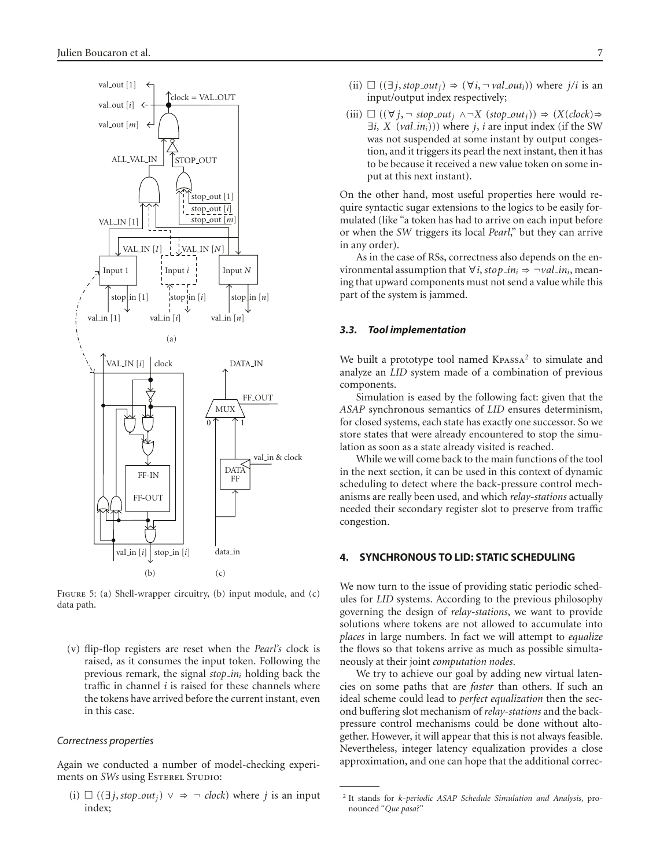

<span id="page-6-1"></span>FIGURE 5: (a) Shell-wrapper circuitry, (b) input module, and (c) data path.

(v) flip-flop registers are reset when the *Pearl's* clock is raised, as it consumes the input token. Following the previous remark, the signal *stop in<sup>i</sup>* holding back the traffic in channel *i* is raised for these channels where the tokens have arrived before the current instant, even in this case.

## *Correctness properties*

Again we conducted a number of model-checking experiments on *SWs* using ESTEREL STUDIO:

(i)  $\Box$  ((∃*j*, *stop\_out<sub>j</sub>*) ∨ ⇒ ¬ *clock*) where *j* is an input index;

- (ii)  $□$  ((∃*j*, *stop\_out<sub>j</sub>*) ⇒ (∀*i*, ¬ *val\_out<sub>i</sub>*)) where *j/i* is an input/output index respectively;
- $(iii) \Box ((\forall j, \neg \text{ stop\_out}_j \land \neg X \text{ (stop\_out}_j)) \Rightarrow (X(\text{clock}) \Rightarrow$ ∃*i*, *X* (*val ini*))) where *j*, *i* are input index (if the SW was not suspended at some instant by output congestion, and it triggers its pearl the next instant, then it has to be because it received a new value token on some input at this next instant).

On the other hand, most useful properties here would require syntactic sugar extensions to the logics to be easily formulated (like "a token has had to arrive on each input before or when the *SW* triggers its local *Pearl*," but they can arrive in any order).

As in the case of RSs, correctness also depends on the environmental assumption that  $\forall i$ , *stop\_in*<sub>i</sub>  $\Rightarrow \neg val_in_i$ , meaning that upward components must not send a value while this part of the system is jammed.

## *3.3. Tool implementation*

We built a prototype tool named  $KpASSA<sup>2</sup>$  to simulate and analyze an *LID* system made of a combination of previous components.

Simulation is eased by the following fact: given that the *ASAP* synchronous semantics of *LID* ensures determinism, for closed systems, each state has exactly one successor. So we store states that were already encountered to stop the simulation as soon as a state already visited is reached.

While we will come back to the main functions of the tool in the next section, it can be used in this context of dynamic scheduling to detect where the back-pressure control mechanisms are really been used, and which *relay-stations* actually needed their secondary register slot to preserve from traffic congestion.

# <span id="page-6-0"></span>**4. SYNCHRONOUS TO LID: STATIC SCHEDULING**

We now turn to the issue of providing static periodic schedules for *LID* systems. According to the previous philosophy governing the design of *relay-stations*, we want to provide solutions where tokens are not allowed to accumulate into *places* in large numbers. In fact we will attempt to *equalize* the flows so that tokens arrive as much as possible simultaneously at their joint *computation nodes*.

We try to achieve our goal by adding new virtual latencies on some paths that are *faster* than others. If such an ideal scheme could lead to *perfect equalization* then the second buffering slot mechanism of *relay-stations* and the backpressure control mechanisms could be done without altogether. However, it will appear that this is not always feasible. Nevertheless, integer latency equalization provides a close approximation, and one can hope that the additional correc-

<sup>2</sup> It stands for *k-periodic ASAP Schedule Simulation and Analysis*, pronounced "*Que pasa?*"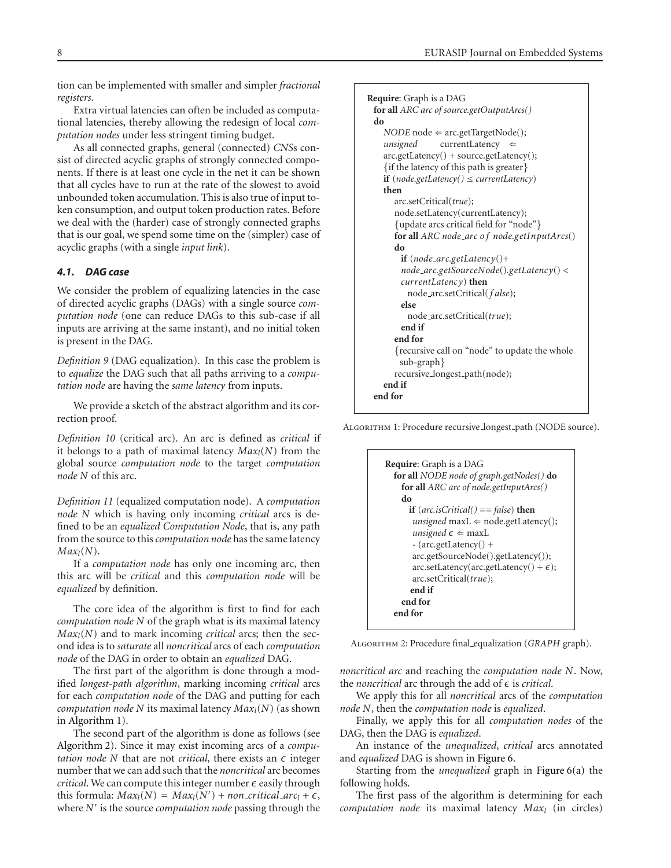tion can be implemented with smaller and simpler *fractional registers*.

Extra virtual latencies can often be included as computational latencies, thereby allowing the redesign of local *computation nodes* under less stringent timing budget.

As all connected graphs, general (connected) *CNS*s consist of directed acyclic graphs of strongly connected components. If there is at least one cycle in the net it can be shown that all cycles have to run at the rate of the slowest to avoid unbounded token accumulation. This is also true of input token consumption, and output token production rates. Before we deal with the (harder) case of strongly connected graphs that is our goal, we spend some time on the (simpler) case of acyclic graphs (with a single *input link*).

# *4.1. DAG case*

We consider the problem of equalizing latencies in the case of directed acyclic graphs (DAGs) with a single source *computation node* (one can reduce DAGs to this sub-case if all inputs are arriving at the same instant), and no initial token is present in the DAG.

*Definition 9* (DAG equalization). In this case the problem is to *equalize* the DAG such that all paths arriving to a *computation node* are having the *same latency* from inputs.

We provide a sketch of the abstract algorithm and its correction proof.

*Definition 10* (critical arc). An arc is defined as *critical* if it belongs to a path of maximal latency  $Max_l(N)$  from the global source *computation node* to the target *computation node N* of this arc.

*Definition 11* (equalized computation node). A *computation node N* which is having only incoming *critical* arcs is defined to be an *equalized Computation Node*, that is, any path from the source to this*computation node* has the same latency  $Max<sub>l</sub>(N)$ .

If a *computation node* has only one incoming arc, then this arc will be *critical* and this *computation node* will be *equalized* by definition.

The core idea of the algorithm is first to find for each *computation node N* of the graph what is its maximal latency  $Max<sub>l</sub>(N)$  and to mark incoming *critical* arcs; then the second idea is to *saturate* all *noncritical* arcs of each *computation node* of the DAG in order to obtain an *equalized* DAG.

The first part of the algorithm is done through a modified *longest-path algorithm*, marking incoming *critical* arcs for each *computation node* of the DAG and putting for each *computation node N* its maximal latency  $Max_l(N)$  (as shown in [Algorithm 1\)](#page-7-0).

The second part of the algorithm is done as follows (see [Algorithm 2\)](#page-7-1). Since it may exist incoming arcs of a *computation node*  $N$  that are not *critical*, there exists an  $\epsilon$  integer number that we can add such that the *noncritical* arc becomes *critical*. We can compute this integer number  $\epsilon$  easily through this formula:  $Max_l(N) = Max_l(N') + non\_critical\_arc_l + \epsilon$ , where *N'* is the source *computation node* passing through the

```
Require: Graph is a DAG
 for all ARC arc of source.getOutputArcs()
 do
    NODE node \Leftarrow arc.getTargetNode();<br>
unsigned currentLatency \Leftarrowunsigned currentLatency ⇐
    arc.getLatency() + source.getLatency();
    {if the latency of this path is greater}
    if (node.getLatency() \leq currentLatency)then
       arc.setCritical(true);
       node.setLatency(currentLatency);
       {update arcs critical field for "node"}
       for all ARC node arc o f node.getInputArcs()
       do
         if (node arc.getLatency()+
         node arc.getSourceNode().getLatency() <
         currentLatency) then
          node arc.setCritical(f alse);
         else
          node arc.setCritical(true);
         end if
       end for
       {recursive call on "node" to update the whole
         sub-graph}
       recursive longest path(node);
    end if
 end for
```
<span id="page-7-0"></span>ALGORITHM 1: Procedure recursive\_longest\_path (NODE source).

```
Require: Graph is a DAG
  for all NODE node of graph.getNodes() do
    for all ARC arc of node.getInputArcs()
    do
      if (arc.isCritical() == false) then
       unsigned maxL \Leftarrow node.getLatency();
       unsigned \epsilon \Leftarrow \text{maxL}- (arc.getLatency() +
       arc.getSourceNode().getLatency());
       arc.setLatency(arc.getLatency() + \epsilon);
       arc.setCritical(true);
      end if
    end for
  end for
```
Algorithm 2: Procedure final equalization (*GRAPH* graph).

<span id="page-7-1"></span>*noncritical arc* and reaching the *computation node N*. Now, the *noncritical* arc through the add of  $\epsilon$  is *critical*.

We apply this for all *noncritical* arcs of the *computation node N*, then the *computation node* is *equalized*.

Finally, we apply this for all *computation nodes* of the DAG, then the DAG is *equalized*.

An instance of the *unequalized*, *critical* arcs annotated and *equalized* DAG is shown in [Figure 6.](#page-8-0)

Starting from the *unequalized* graph in [Figure 6\(a\)](#page-8-1) the following holds.

The first pass of the algorithm is determining for each *computation node* its maximal latency *Maxl* (in circles)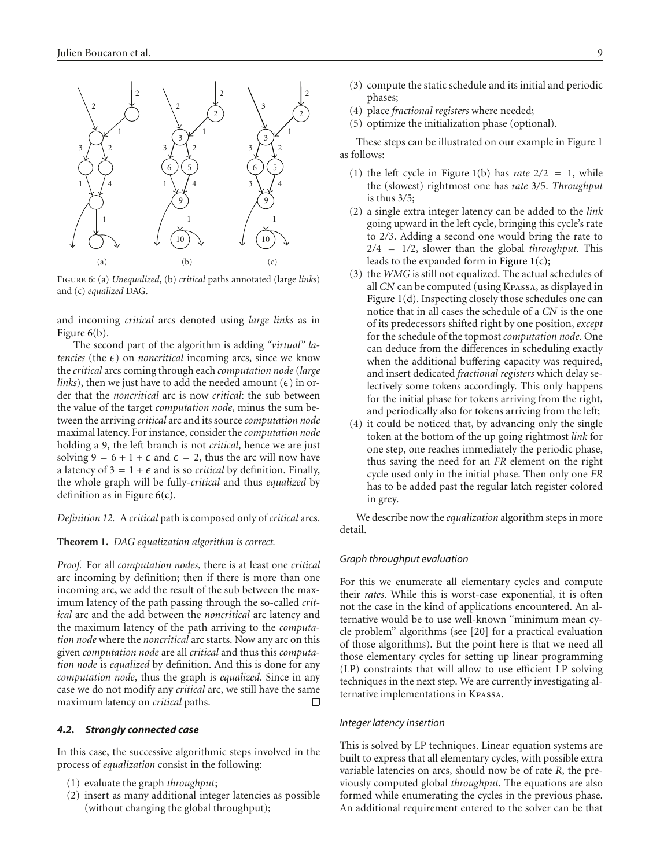<span id="page-8-1"></span>

<span id="page-8-3"></span><span id="page-8-2"></span><span id="page-8-0"></span>Figure 6: (a) *Unequalized*, (b) *critical* paths annotated (large *links*) and (c) *equalized* DAG.

and incoming *critical* arcs denoted using *large links* as in [Figure 6\(b\).](#page-8-2)

The second part of the algorithm is adding *"virtual" latencies* (the  $\epsilon$ ) on *noncritical* incoming arcs, since we know the *critical* arcs coming through each *computation node*(*large links*), then we just have to add the needed amount  $(\epsilon)$  in order that the *noncritical* arc is now *critical*: the sub between the value of the target *computation node*, minus the sum between the arriving *critical* arc and its source *computation node* maximal latency. For instance, consider the *computation node* holding a 9, the left branch is not *critical*, hence we are just solving  $9 = 6 + 1 + \epsilon$  and  $\epsilon = 2$ , thus the arc will now have a latency of  $3 = 1 + \epsilon$  and is so *critical* by definition. Finally, the whole graph will be fully-*critical* and thus *equalized* by definition as in Figure  $6(c)$ .

*Definition 12.* A *critical* path is composed only of *critical* arcs.

## **Theorem 1.** *DAG equalization algorithm is correct.*

*Proof.* For all *computation nodes*, there is at least one *critical* arc incoming by definition; then if there is more than one incoming arc, we add the result of the sub between the maximum latency of the path passing through the so-called *critical* arc and the add between the *noncritical* arc latency and the maximum latency of the path arriving to the *computation node* where the *noncritical* arc starts. Now any arc on this given *computation node* are all *critical* and thus this *computation node* is *equalized* by definition. And this is done for any *computation node*, thus the graph is *equalized*. Since in any case we do not modify any *critical* arc, we still have the same maximum latency on *critical* paths. □

## *4.2. Strongly connected case*

In this case, the successive algorithmic steps involved in the process of *equalization* consist in the following:

- (1) evaluate the graph *throughput*;
- (2) insert as many additional integer latencies as possible (without changing the global throughput);
- (3) compute the static schedule and its initial and periodic phases;
- (4) place *fractional registers* where needed;
- (5) optimize the initialization phase (optional).

These steps can be illustrated on our example in [Figure 1](#page-2-4) as follows:

- (1) the left cycle in [Figure 1\(b\)](#page-2-2) has *rate*  $2/2 = 1$ , while the (slowest) rightmost one has *rate* 3*/*5. *Throughput* is thus 3*/*5;
- (2) a single extra integer latency can be added to the *link* going upward in the left cycle, bringing this cycle's rate to 2*/*3. Adding a second one would bring the rate to 2*/*4 = 1*/*2, slower than the global *throughput*. This leads to the expanded form in Figure  $1(c)$ ;
- (3) the *WMG* is still not equalized. The actual schedules of all *CN* can be computed (using Kpassa, as displayed in [Figure 1\(d\).](#page-2-3) Inspecting closely those schedules one can notice that in all cases the schedule of a *CN* is the one of its predecessors shifted right by one position, *except* for the schedule of the topmost *computation node*. One can deduce from the differences in scheduling exactly when the additional buffering capacity was required, and insert dedicated *fractional registers* which delay selectively some tokens accordingly. This only happens for the initial phase for tokens arriving from the right, and periodically also for tokens arriving from the left;
- (4) it could be noticed that, by advancing only the single token at the bottom of the up going rightmost *link* for one step, one reaches immediately the periodic phase, thus saving the need for an *FR* element on the right cycle used only in the initial phase. Then only one *FR* has to be added past the regular latch register colored in grey.

We describe now the *equalization* algorithm steps in more detail.

## *Graph throughput evaluation*

For this we enumerate all elementary cycles and compute their *rates*. While this is worst-case exponential, it is often not the case in the kind of applications encountered. An alternative would be to use well-known "minimum mean cycle problem" algorithms (see [\[20\]](#page-15-3) for a practical evaluation of those algorithms). But the point here is that we need all those elementary cycles for setting up linear programming (LP) constraints that will allow to use efficient LP solving techniques in the next step. We are currently investigating alternative implementations in Kpassa.

## *Integer latency insertion*

This is solved by LP techniques. Linear equation systems are built to express that all elementary cycles, with possible extra variable latencies on arcs, should now be of rate *R*, the previously computed global *throughput*. The equations are also formed while enumerating the cycles in the previous phase. An additional requirement entered to the solver can be that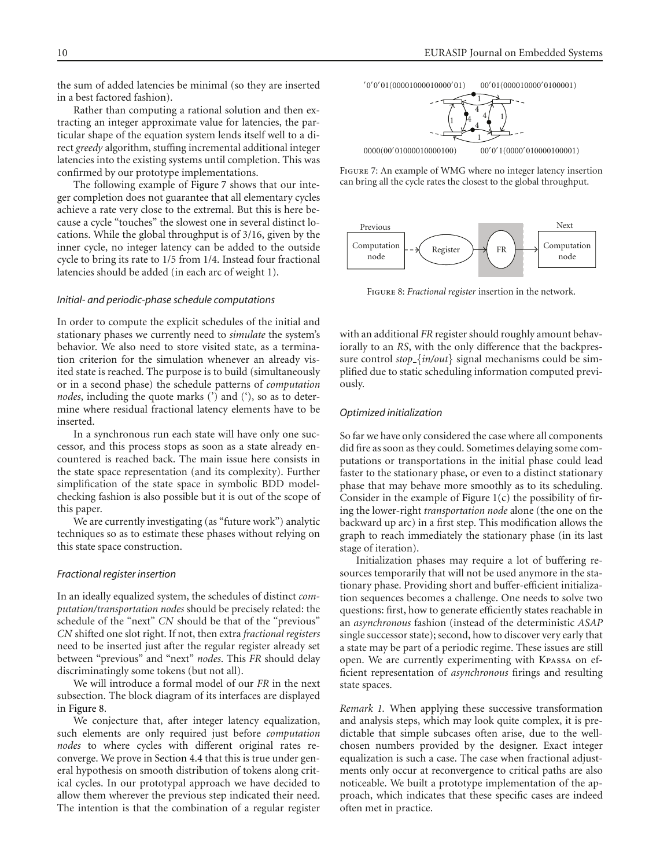the sum of added latencies be minimal (so they are inserted in a best factored fashion).

Rather than computing a rational solution and then extracting an integer approximate value for latencies, the particular shape of the equation system lends itself well to a direct *greedy* algorithm, stuffing incremental additional integer latencies into the existing systems until completion. This was confirmed by our prototype implementations.

The following example of [Figure 7](#page-9-0) shows that our integer completion does not guarantee that all elementary cycles achieve a rate very close to the extremal. But this is here because a cycle "touches" the slowest one in several distinct locations. While the global throughput is of 3/16, given by the inner cycle, no integer latency can be added to the outside cycle to bring its rate to 1/5 from 1/4. Instead four fractional latencies should be added (in each arc of weight 1).

#### *Initial- and periodic-phase schedule computations*

In order to compute the explicit schedules of the initial and stationary phases we currently need to *simulate* the system's behavior. We also need to store visited state, as a termination criterion for the simulation whenever an already visited state is reached. The purpose is to build (simultaneously or in a second phase) the schedule patterns of *computation nodes*, including the quote marks (') and ('), so as to determine where residual fractional latency elements have to be inserted.

In a synchronous run each state will have only one successor, and this process stops as soon as a state already encountered is reached back. The main issue here consists in the state space representation (and its complexity). Further simplification of the state space in symbolic BDD modelchecking fashion is also possible but it is out of the scope of this paper.

We are currently investigating (as "future work") analytic techniques so as to estimate these phases without relying on this state space construction.

## *Fractional register insertion*

In an ideally equalized system, the schedules of distinct *computation/transportation nodes* should be precisely related: the schedule of the "next" *CN* should be that of the "previous" *CN* shifted one slot right. If not, then extra *fractional registers* need to be inserted just after the regular register already set between "previous" and "next" *nodes*. This *FR* should delay discriminatingly some tokens (but not all).

We will introduce a formal model of our *FR* in the next subsection. The block diagram of its interfaces are displayed in [Figure 8.](#page-9-1)

We conjecture that, after integer latency equalization, such elements are only required just before *computation nodes* to where cycles with different original rates reconverge. We prove in [Section 4.4](#page-11-0) that this is true under general hypothesis on smooth distribution of tokens along critical cycles. In our prototypal approach we have decided to allow them wherever the previous step indicated their need. The intention is that the combination of a regular register



<span id="page-9-0"></span>Figure 7: An example of WMG where no integer latency insertion can bring all the cycle rates the closest to the global throughput.



Figure 8: *Fractional register* insertion in the network.

<span id="page-9-1"></span>with an additional *FR* register should roughly amount behaviorally to an *RS*, with the only difference that the backpressure control *stop {in/out}* signal mechanisms could be simplified due to static scheduling information computed previously.

#### *Optimized initialization*

So far we have only considered the case where all components did fire as soon as they could. Sometimes delaying some computations or transportations in the initial phase could lead faster to the stationary phase, or even to a distinct stationary phase that may behave more smoothly as to its scheduling. Consider in the example of Figure  $1(c)$  the possibility of firing the lower-right *transportation node* alone (the one on the backward up arc) in a first step. This modification allows the graph to reach immediately the stationary phase (in its last stage of iteration).

Initialization phases may require a lot of buffering resources temporarily that will not be used anymore in the stationary phase. Providing short and buffer-efficient initialization sequences becomes a challenge. One needs to solve two questions: first, how to generate efficiently states reachable in an *asynchronous* fashion (instead of the deterministic *ASAP* single successor state); second, how to discover very early that a state may be part of a periodic regime. These issues are still open. We are currently experimenting with Kpassa on efficient representation of *asynchronous* firings and resulting state spaces.

*Remark 1.* When applying these successive transformation and analysis steps, which may look quite complex, it is predictable that simple subcases often arise, due to the wellchosen numbers provided by the designer. Exact integer equalization is such a case. The case when fractional adjustments only occur at reconvergence to critical paths are also noticeable. We built a prototype implementation of the approach, which indicates that these specific cases are indeed often met in practice.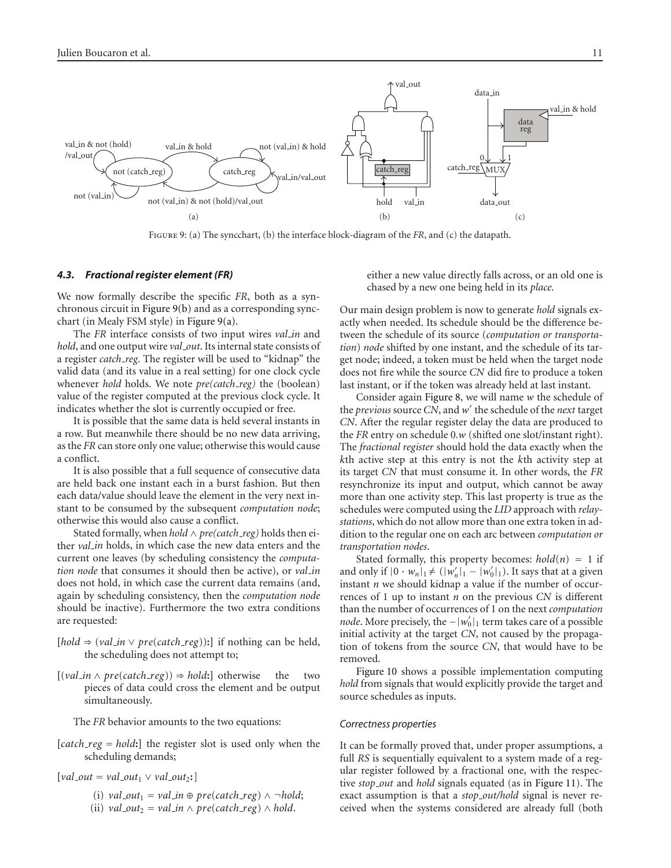<span id="page-10-1"></span>

<span id="page-10-0"></span>Figure 9: (a) The syncchart, (b) the interface block-diagram of the *FR*, and (c) the datapath.

#### *4.3. Fractional register element (FR)*

We now formally describe the specific *FR*, both as a synchronous circuit in [Figure 9\(b\)](#page-10-0) and as a corresponding syncchart (in Mealy FSM style) in [Figure 9\(a\).](#page-10-1)

The *FR* interface consists of two input wires *val in* and *hold*, and one output wire *val out*. Its internal state consists of a register *catch reg*. The register will be used to "kidnap" the valid data (and its value in a real setting) for one clock cycle whenever *hold* holds. We note *pre(catch reg)* the (boolean) value of the register computed at the previous clock cycle. It indicates whether the slot is currently occupied or free.

It is possible that the same data is held several instants in a row. But meanwhile there should be no new data arriving, as the *FR* can store only one value; otherwise this would cause a conflict.

It is also possible that a full sequence of consecutive data are held back one instant each in a burst fashion. But then each data/value should leave the element in the very next instant to be consumed by the subsequent *computation node*; otherwise this would also cause a conflict.

Stated formally, when *hold* ∧ *pre(catch reg)* holds then either *val in* holds, in which case the new data enters and the current one leaves (by scheduling consistency the *computation node* that consumes it should then be active), or *val in* does not hold, in which case the current data remains (and, again by scheduling consistency, then the *computation node* should be inactive). Furthermore the two extra conditions are requested:

- **[***hold* ⇒ (*val in* ∨ *pre*(*catch reg*))**:]** if nothing can be held, the scheduling does not attempt to;
- $[(val_in \land pre(catch_reg)) \Rightarrow hold:]$  otherwise the two pieces of data could cross the element and be output simultaneously.

The *FR* behavior amounts to the two equations:

- **[***catch reg* = *hold***:]** the register slot is used only when the scheduling demands;
- $[val\_out = val\_out_1 \vee val\_out_2:]$ 
	- (i) *val\_out*<sub>1</sub> = *val\_in*  $\oplus$  *pre*(*catch\_reg*)  $\wedge \neg hold$ ;

(ii) *val\_out*<sub>2</sub> = *val\_in*  $\land$  *pre*(*catch\_reg*)  $\land$  *hold*.

either a new value directly falls across, or an old one is chased by a new one being held in its *place*.

Our main design problem is now to generate *hold* signals exactly when needed. Its schedule should be the difference between the schedule of its source (*computation or transportation*) *node* shifted by one instant, and the schedule of its target node; indeed, a token must be held when the target node does not fire while the source *CN* did fire to produce a token last instant, or if the token was already held at last instant.

Consider again [Figure 8,](#page-9-1) we will name *w* the schedule of the *previous* source *CN*, and *w*- the schedule of the *next* target *CN*. After the regular register delay the data are produced to the *FR* entry on schedule 0*.w* (shifted one slot/instant right). The *fractional register* should hold the data exactly when the *k*th active step at this entry is not the *k*th activity step at its target *CN* that must consume it. In other words, the *FR* resynchronize its input and output, which cannot be away more than one activity step. This last property is true as the schedules were computed using the *LID* approach with *relaystations*, which do not allow more than one extra token in addition to the regular one on each arc between *computation or transportation nodes*.

Stated formally, this property becomes:  $hold(n) = 1$  if and only if  $|0 \cdot w_n|_1 \neq (|w'_n|_1 - |w'_0|_1)$ . It says that at a given instant *n* we should kidnap a value if the number of occurrences of 1 up to instant *n* on the previous *CN* is different than the number of occurrences of 1 on the next *computation node*. More precisely, the −|*w*<sup>'</sup><sub>0</sub>|<sub>1</sub> term takes care of a possible initial activity at the target *CN*, not caused by the propagation of tokens from the source *CN*, that would have to be removed.

[Figure 10](#page-11-1) shows a possible implementation computing *hold* from signals that would explicitly provide the target and source schedules as inputs.

#### *Correctness properties*

It can be formally proved that, under proper assumptions, a full *RS* is sequentially equivalent to a system made of a regular register followed by a fractional one, with the respective *stop out* and *hold* signals equated (as in [Figure 11\)](#page-11-2). The exact assumption is that a *stop out/hold* signal is never received when the systems considered are already full (both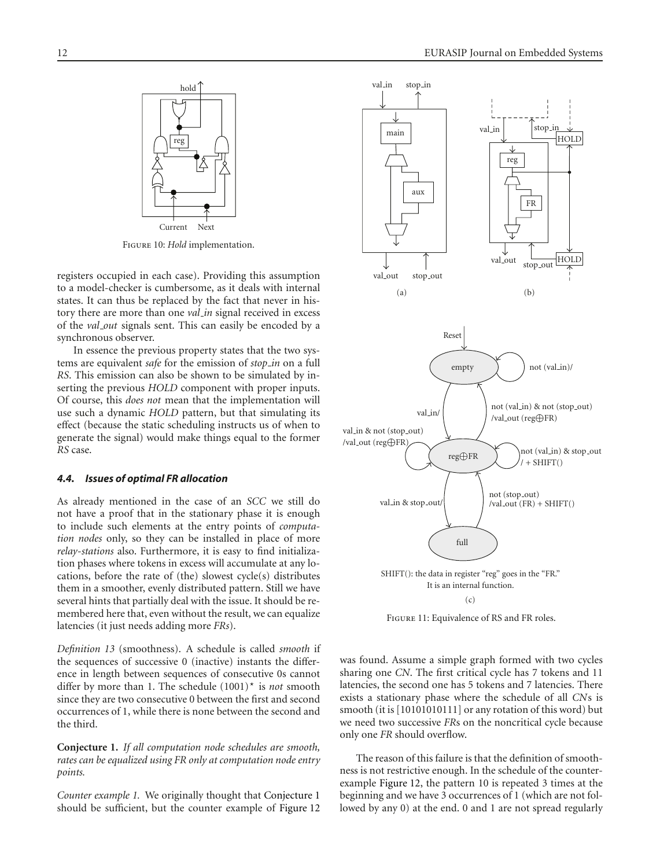

<span id="page-11-1"></span>Figure 10: *Hold* implementation.

registers occupied in each case). Providing this assumption to a model-checker is cumbersome, as it deals with internal states. It can thus be replaced by the fact that never in history there are more than one *val in* signal received in excess of the *val out* signals sent. This can easily be encoded by a synchronous observer.

In essence the previous property states that the two systems are equivalent *safe* for the emission of *stop in* on a full *RS*. This emission can also be shown to be simulated by inserting the previous *HOLD* component with proper inputs. Of course, this *does not* mean that the implementation will use such a dynamic *HOLD* pattern, but that simulating its effect (because the static scheduling instructs us of when to generate the signal) would make things equal to the former *RS* case.

## <span id="page-11-0"></span>*4.4. Issues of optimal FR allocation*

As already mentioned in the case of an *SCC* we still do not have a proof that in the stationary phase it is enough to include such elements at the entry points of *computation nodes* only, so they can be installed in place of more *relay-stations* also. Furthermore, it is easy to find initialization phases where tokens in excess will accumulate at any locations, before the rate of (the) slowest cycle(s) distributes them in a smoother, evenly distributed pattern. Still we have several hints that partially deal with the issue. It should be remembered here that, even without the result, we can equalize latencies (it just needs adding more *FRs*).

*Definition 13* (smoothness). A schedule is called *smooth* if the sequences of successive 0 (inactive) instants the difference in length between sequences of consecutive 0s cannot differ by more than 1. The schedule (1001)*-* is *not* smooth since they are two consecutive 0 between the first and second occurrences of 1, while there is none between the second and the third.

# <span id="page-11-3"></span>**Conjecture 1.** *If all computation node schedules are smooth, rates can be equalized using FR only at computation node entry points.*

*Counter example 1.* We originally thought that [Conjecture 1](#page-11-3) should be sufficient, but the counter example of [Figure 12](#page-12-0)



<span id="page-11-2"></span>Figure 11: Equivalence of RS and FR roles.

was found. Assume a simple graph formed with two cycles sharing one *CN*. The first critical cycle has 7 tokens and 11 latencies, the second one has 5 tokens and 7 latencies. There exists a stationary phase where the schedule of all *CN*s is smooth (it is [10101010111] or any rotation of this word) but we need two successive *FR*s on the noncritical cycle because only one *FR* should overflow.

The reason of this failure is that the definition of smoothness is not restrictive enough. In the schedule of the counterexample [Figure 12,](#page-12-0) the pattern 10 is repeated 3 times at the beginning and we have 3 occurrences of 1 (which are not followed by any 0) at the end. 0 and 1 are not spread regularly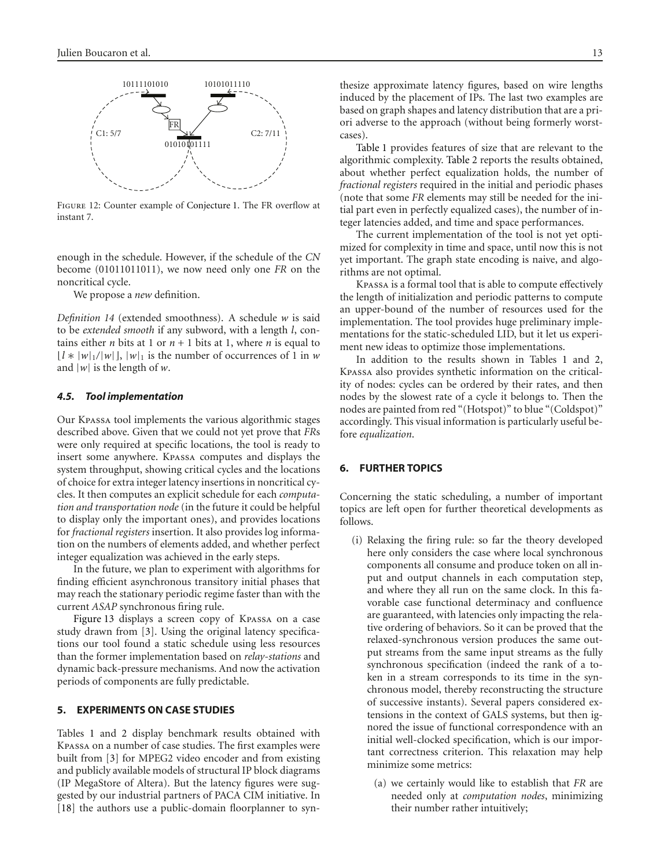

<span id="page-12-0"></span>Figure 12: Counter example of [Conjecture 1.](#page-11-3) The FR overflow at instant 7.

enough in the schedule. However, if the schedule of the *CN* become (01011011011), we now need only one *FR* on the noncritical cycle.

We propose a *new* definition.

*Definition 14* (extended smoothness). A schedule *w* is said to be *extended smooth* if any subword, with a length *l*, contains either *n* bits at 1 or  $n + 1$  bits at 1, where *n* is equal to  $\lfloor l * |w|_1 / |w| \rfloor$ ,  $\lfloor w \rfloor_1$  is the number of occurrences of 1 in *w* and |*w*| is the length of *w*.

#### *4.5. Tool implementation*

Our Kpassa tool implements the various algorithmic stages described above. Given that we could not yet prove that *FR*s were only required at specific locations, the tool is ready to insert some anywhere. Kpassa computes and displays the system throughput, showing critical cycles and the locations of choice for extra integer latency insertions in noncritical cycles. It then computes an explicit schedule for each *computation and transportation node* (in the future it could be helpful to display only the important ones), and provides locations for *fractional registers* insertion. It also provides log information on the numbers of elements added, and whether perfect integer equalization was achieved in the early steps.

In the future, we plan to experiment with algorithms for finding efficient asynchronous transitory initial phases that may reach the stationary periodic regime faster than with the current *ASAP* synchronous firing rule.

[Figure 13](#page-13-0) displays a screen copy of Kpassa on a case study drawn from [\[3](#page-14-3)]. Using the original latency specifications our tool found a static schedule using less resources than the former implementation based on *relay-stations* and dynamic back-pressure mechanisms. And now the activation periods of components are fully predictable.

# **5. EXPERIMENTS ON CASE STUDIES**

Tables [1](#page-13-1) and [2](#page-14-16) display benchmark results obtained with Kpassa on a number of case studies. The first examples were built from [\[3\]](#page-14-3) for MPEG2 video encoder and from existing and publicly available models of structural IP block diagrams (IP MegaStore of Altera). But the latency figures were suggested by our industrial partners of PACA CIM initiative. In [\[18](#page-15-1)] the authors use a public-domain floorplanner to synthesize approximate latency figures, based on wire lengths induced by the placement of IPs. The last two examples are based on graph shapes and latency distribution that are a priori adverse to the approach (without being formerly worstcases).

[Table 1](#page-13-1) provides features of size that are relevant to the algorithmic complexity. [Table 2](#page-14-16) reports the results obtained, about whether perfect equalization holds, the number of *fractional registers* required in the initial and periodic phases (note that some *FR* elements may still be needed for the initial part even in perfectly equalized cases), the number of integer latencies added, and time and space performances.

The current implementation of the tool is not yet optimized for complexity in time and space, until now this is not yet important. The graph state encoding is naive, and algorithms are not optimal.

Kpassa is a formal tool that is able to compute effectively the length of initialization and periodic patterns to compute an upper-bound of the number of resources used for the implementation. The tool provides huge preliminary implementations for the static-scheduled LID, but it let us experiment new ideas to optimize those implementations.

In addition to the results shown in Tables [1](#page-13-1) and [2,](#page-14-16) Kpassa also provides synthetic information on the criticality of nodes: cycles can be ordered by their rates, and then nodes by the slowest rate of a cycle it belongs to. Then the nodes are painted from red "(Hotspot)" to blue "(Coldspot)" accordingly. This visual information is particularly useful before *equalization*.

## **6. FURTHER TOPICS**

Concerning the static scheduling, a number of important topics are left open for further theoretical developments as follows.

- (i) Relaxing the firing rule: so far the theory developed here only considers the case where local synchronous components all consume and produce token on all input and output channels in each computation step, and where they all run on the same clock. In this favorable case functional determinacy and confluence are guaranteed, with latencies only impacting the relative ordering of behaviors. So it can be proved that the relaxed-synchronous version produces the same output streams from the same input streams as the fully synchronous specification (indeed the rank of a token in a stream corresponds to its time in the synchronous model, thereby reconstructing the structure of successive instants). Several papers considered extensions in the context of GALS systems, but then ignored the issue of functional correspondence with an initial well-clocked specification, which is our important correctness criterion. This relaxation may help minimize some metrics:
	- (a) we certainly would like to establish that *FR* are needed only at *computation nodes*, minimizing their number rather intuitively;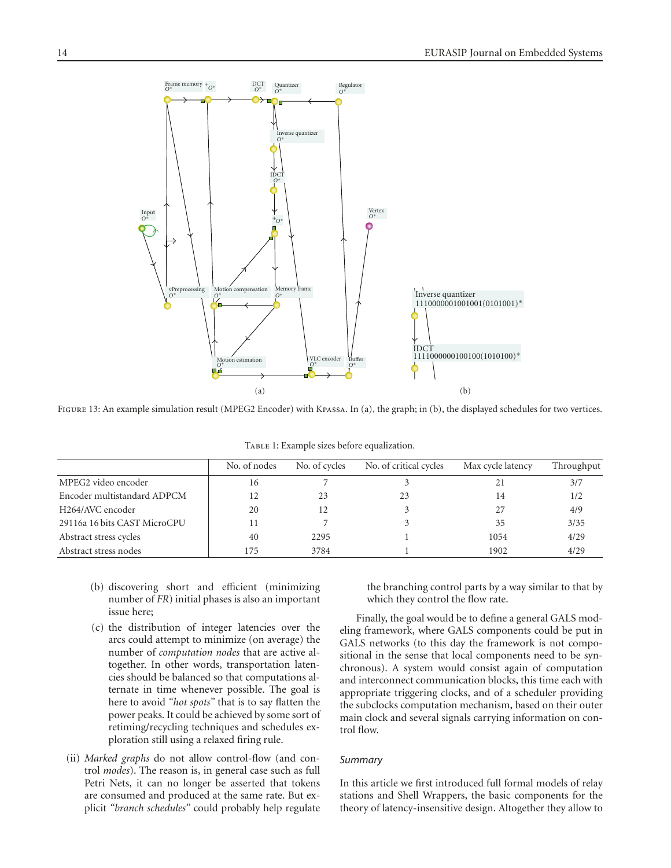

<span id="page-13-0"></span>FIGURE 13: An example simulation result (MPEG2 Encoder) with KPASSA. In (a), the graph; in (b), the displayed schedules for two vertices.

|                              |     | No. of nodes<br>No. of critical cycles<br>No. of cycles |    | Max cycle latency |            |
|------------------------------|-----|---------------------------------------------------------|----|-------------------|------------|
|                              |     |                                                         |    |                   | Throughput |
| MPEG2 video encoder          | 16  |                                                         |    | 21                | 3/7        |
| Encoder multistandard ADPCM  | 12  | 23                                                      | 23 | 14                | 1/2        |
| H264/AVC encoder             | 20  | 12                                                      |    | 27                | 4/9        |
| 29116a 16 bits CAST MicroCPU |     |                                                         |    | 35                | 3/35       |
| Abstract stress cycles       | 40  | 2295                                                    |    | 1054              | 4/29       |
| Abstract stress nodes        | 175 | 3784                                                    |    | 1902              | 4/29       |

<span id="page-13-1"></span>TABLE 1: Example sizes before equalization.

- (b) discovering short and efficient (minimizing number of *FR*) initial phases is also an important issue here;
- (c) the distribution of integer latencies over the arcs could attempt to minimize (on average) the number of *computation nodes* that are active altogether. In other words, transportation latencies should be balanced so that computations alternate in time whenever possible. The goal is here to avoid *"hot spots"* that is to say flatten the power peaks. It could be achieved by some sort of retiming/recycling techniques and schedules exploration still using a relaxed firing rule.
- (ii) *Marked graphs* do not allow control-flow (and control *modes*). The reason is, in general case such as full Petri Nets, it can no longer be asserted that tokens are consumed and produced at the same rate. But explicit *"branch schedules"* could probably help regulate

the branching control parts by a way similar to that by which they control the flow rate.

Finally, the goal would be to define a general GALS modeling framework, where GALS components could be put in GALS networks (to this day the framework is not compositional in the sense that local components need to be synchronous). A system would consist again of computation and interconnect communication blocks, this time each with appropriate triggering clocks, and of a scheduler providing the subclocks computation mechanism, based on their outer main clock and several signals carrying information on control flow.

#### *Summary*

In this article we first introduced full formal models of relay stations and Shell Wrappers, the basic components for the theory of latency-insensitive design. Altogether they allow to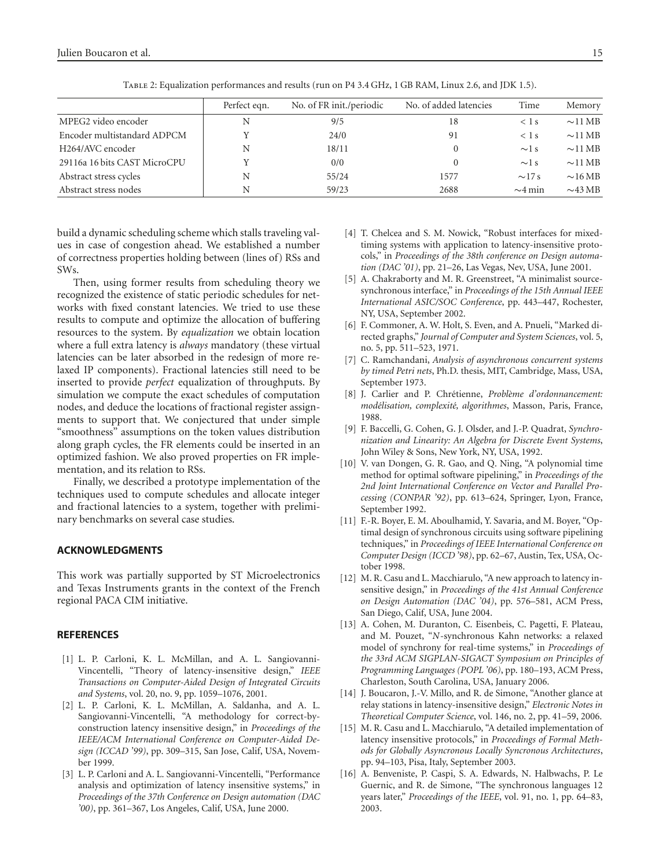<span id="page-14-16"></span>

|                              | Perfect eqn. | No. of FR init./periodic | No. of added latencies | Time         | Memory       |
|------------------------------|--------------|--------------------------|------------------------|--------------|--------------|
| MPEG2 video encoder          | N            | 9/5                      | 18                     | $<$ 1 s      | $\sim$ 11 MB |
| Encoder multistandard ADPCM  |              | 24/0                     | 91                     | $<$ 1 s      | $\sim$ 11 MB |
| H264/AVC encoder             | N            | 18/11                    |                        | $\sim$ 1 s   | $\sim$ 11 MB |
| 29116a 16 bits CAST MicroCPU |              | 0/0                      |                        | $\sim$ 1 s   | $\sim$ 11 MB |
| Abstract stress cycles       | N            | 55/24                    | 1577                   | $\sim$ 17 s  | $\sim$ 16 MB |
| Abstract stress nodes        |              | 59/23                    | 2688                   | $\sim$ 4 min | $\sim$ 43 MB |

Table 2: Equalization performances and results (run on P4 3.4 GHz, 1 GB RAM, Linux 2.6, and JDK 1.5).

build a dynamic scheduling scheme which stalls traveling values in case of congestion ahead. We established a number of correctness properties holding between (lines of) RSs and SWs.

Then, using former results from scheduling theory we recognized the existence of static periodic schedules for networks with fixed constant latencies. We tried to use these results to compute and optimize the allocation of buffering resources to the system. By *equalization* we obtain location where a full extra latency is *always* mandatory (these virtual latencies can be later absorbed in the redesign of more relaxed IP components). Fractional latencies still need to be inserted to provide *perfect* equalization of throughputs. By simulation we compute the exact schedules of computation nodes, and deduce the locations of fractional register assignments to support that. We conjectured that under simple "smoothness" assumptions on the token values distribution along graph cycles, the FR elements could be inserted in an optimized fashion. We also proved properties on FR implementation, and its relation to RSs.

Finally, we described a prototype implementation of the techniques used to compute schedules and allocate integer and fractional latencies to a system, together with preliminary benchmarks on several case studies.

## **ACKNOWLEDGMENTS**

This work was partially supported by ST Microelectronics and Texas Instruments grants in the context of the French regional PACA CIM initiative.

#### <span id="page-14-0"></span>**REFERENCES**

- <span id="page-14-1"></span>[1] L. P. Carloni, K. L. McMillan, and A. L. Sangiovanni-Vincentelli, "Theory of latency-insensitive design," *IEEE Transactions on Computer-Aided Design of Integrated Circuits and Systems*, vol. 20, no. 9, pp. 1059–1076, 2001.
- <span id="page-14-2"></span>[2] L. P. Carloni, K. L. McMillan, A. Saldanha, and A. L. Sangiovanni-Vincentelli, "A methodology for correct-byconstruction latency insensitive design," in *Proceedings of the IEEE/ACM International Conference on Computer-Aided Design (ICCAD '99)*, pp. 309–315, San Jose, Calif, USA, November 1999.
- <span id="page-14-3"></span>[3] L. P. Carloni and A. L. Sangiovanni-Vincentelli, "Performance analysis and optimization of latency insensitive systems," in *Proceedings of the 37th Conference on Design automation (DAC '00)*, pp. 361–367, Los Angeles, Calif, USA, June 2000.
- [4] T. Chelcea and S. M. Nowick, "Robust interfaces for mixedtiming systems with application to latency-insensitive protocols," in *Proceedings of the 38th conference on Design automation (DAC '01)*, pp. 21–26, Las Vegas, Nev, USA, June 2001.
- <span id="page-14-4"></span>[5] A. Chakraborty and M. R. Greenstreet, "A minimalist sourcesynchronous interface," in *Proceedings of the 15th Annual IEEE International ASIC/SOC Conference*, pp. 443–447, Rochester, NY, USA, September 2002.
- <span id="page-14-5"></span>[6] F. Commoner, A. W. Holt, S. Even, and A. Pnueli, "Marked directed graphs," *Journal of Computer and System Sciences*, vol. 5, no. 5, pp. 511–523, 1971.
- <span id="page-14-6"></span>[7] C. Ramchandani, *Analysis of asynchronous concurrent systems by timed Petri nets*, Ph.D. thesis, MIT, Cambridge, Mass, USA, September 1973.
- <span id="page-14-7"></span>[8] J. Carlier and P. Chrétienne, *Problème d'ordonnancement: mod´elisation, complexit´e, algorithmes*, Masson, Paris, France, 1988.
- <span id="page-14-8"></span>[9] F. Baccelli, G. Cohen, G. J. Olsder, and J.-P. Quadrat, *Synchronization and Linearity: An Algebra for Discrete Event Systems*, John Wiley & Sons, New York, NY, USA, 1992.
- <span id="page-14-9"></span>[10] V. van Dongen, G. R. Gao, and Q. Ning, "A polynomial time method for optimal software pipelining," in *Proceedings of the 2nd Joint International Conference on Vector and Parallel Processing (CONPAR '92)*, pp. 613–624, Springer, Lyon, France, September 1992.
- <span id="page-14-10"></span>[11] F.-R. Boyer, E. M. Aboulhamid, Y. Savaria, and M. Boyer, "Optimal design of synchronous circuits using software pipelining techniques," in *Proceedings of IEEE International Conference on Computer Design (ICCD '98)*, pp. 62–67, Austin, Tex, USA, October 1998.
- <span id="page-14-11"></span>[12] M. R. Casu and L. Macchiarulo, "A new approach to latency insensitive design," in *Proceedings of the 41st Annual Conference on Design Automation (DAC '04)*, pp. 576–581, ACM Press, San Diego, Calif, USA, June 2004.
- <span id="page-14-12"></span>[13] A. Cohen, M. Duranton, C. Eisenbeis, C. Pagetti, F. Plateau, and M. Pouzet, "*N*-synchronous Kahn networks: a relaxed model of synchrony for real-time systems," in *Proceedings of the 33rd ACM SIGPLAN-SIGACT Symposium on Principles of Programming Languages (POPL '06)*, pp. 180–193, ACM Press, Charleston, South Carolina, USA, January 2006.
- <span id="page-14-13"></span>[14] J. Boucaron, J.-V. Millo, and R. de Simone, "Another glance at relay stations in latency-insensitive design," *Electronic Notes in Theoretical Computer Science*, vol. 146, no. 2, pp. 41–59, 2006.
- <span id="page-14-14"></span>[15] M. R. Casu and L. Macchiarulo, "A detailed implementation of latency insensitive protocols," in *Proceedings of Formal Methods for Globally Asyncronous Locally Syncronous Architectures*, pp. 94–103, Pisa, Italy, September 2003.
- <span id="page-14-15"></span>[16] A. Benveniste, P. Caspi, S. A. Edwards, N. Halbwachs, P. Le Guernic, and R. de Simone, "The synchronous languages 12 years later," *Proceedings of the IEEE*, vol. 91, no. 1, pp. 64–83, 2003.